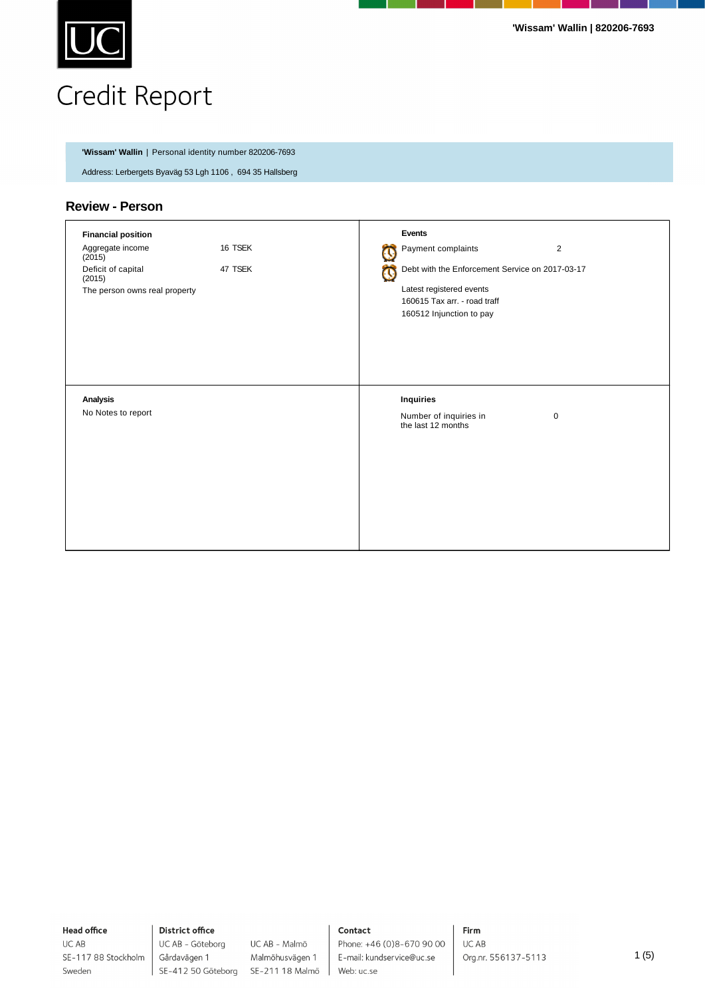

# Credit Report

**'Wissam' Wallin** | Personal identity number 820206-7693

Address: Lerbergets Byaväg 53 Lgh 1106 , 694 35 Hallsberg

### **Review - Person**

| <b>Financial position</b>               |         |   | Events                                            |  |
|-----------------------------------------|---------|---|---------------------------------------------------|--|
| Aggregate income<br>(2015)              | 16 TSEK | C | Payment complaints<br>$\overline{2}$              |  |
| Deficit of capital<br>47 TSEK<br>(2015) |         | ٥ | Debt with the Enforcement Service on 2017-03-17   |  |
| The person owns real property           |         |   | Latest registered events                          |  |
|                                         |         |   | 160615 Tax arr. - road traff                      |  |
|                                         |         |   | 160512 Injunction to pay                          |  |
|                                         |         |   |                                                   |  |
|                                         |         |   |                                                   |  |
|                                         |         |   |                                                   |  |
|                                         |         |   |                                                   |  |
| Analysis                                |         |   | <b>Inquiries</b>                                  |  |
| No Notes to report                      |         |   |                                                   |  |
|                                         |         |   | Number of inquiries in<br>the last 12 months<br>0 |  |
|                                         |         |   |                                                   |  |
|                                         |         |   |                                                   |  |
|                                         |         |   |                                                   |  |
|                                         |         |   |                                                   |  |
|                                         |         |   |                                                   |  |
|                                         |         |   |                                                   |  |
|                                         |         |   |                                                   |  |
|                                         |         |   |                                                   |  |
|                                         |         |   |                                                   |  |

**Head office** UC AB

Sweden

SE-117 88 Stockholm

**District office** Gårdavägen 1

UC AB - Göteborg UC AB - Malmö Malmöhusvägen 1 SE-412 50 Göteborg SE-211 18 Malmö

#### Contact

Phone: +46 (0)8-670 90 00 E-mail: kundservice@uc.se Web: uc.se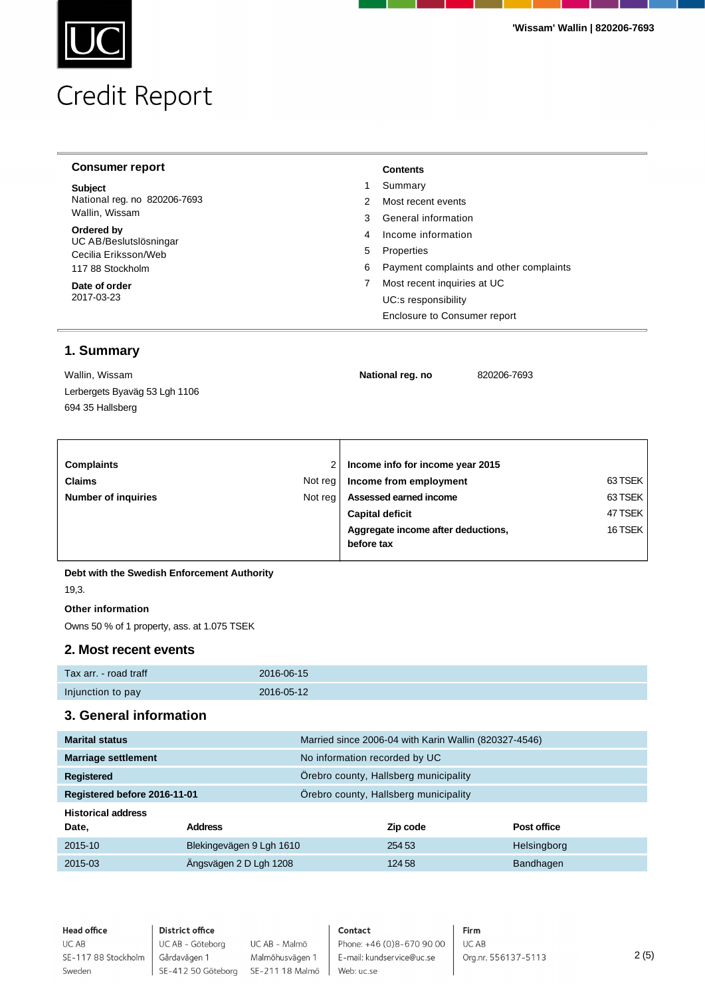# Credit Report

| <b>Consumer report</b>               |   | <b>Contents</b>                         |
|--------------------------------------|---|-----------------------------------------|
| <b>Subject</b>                       |   | Summary                                 |
| National reg. no 820206-7693         |   | Most recent events                      |
| Wallin, Wissam                       | 3 | General information                     |
| Ordered by<br>UC AB/Beslutslösningar | 4 | Income information                      |
| Cecilia Eriksson/Web                 | 5 | Properties                              |
| 117 88 Stockholm                     | 6 | Payment complaints and other complaints |
| Date of order                        |   | Most recent inquiries at UC             |
| 2017-03-23                           |   | UC:s responsibility                     |
|                                      |   | Enclosure to Consumer report            |

# **1. Summary**

| Wallin, Wissam                | National reg. no | 820206-7693 |
|-------------------------------|------------------|-------------|
| Lerbergets Byaväg 53 Lgh 1106 |                  |             |
| 694 35 Hallsberg              |                  |             |

| <b>Complaints</b>          |         | Income info for income year 2015   |         |  |
|----------------------------|---------|------------------------------------|---------|--|
| <b>Claims</b>              | Not reg | Income from employment             | 63 TSEK |  |
| <b>Number of inquiries</b> | Not reg | Assessed earned income             | 63 TSEK |  |
|                            |         | <b>Capital deficit</b>             | 47 TSEK |  |
|                            |         | Aggregate income after deductions, | 16 TSEK |  |
|                            |         | before tax                         |         |  |
|                            |         |                                    |         |  |

#### **Debt with the Swedish Enforcement Authority**

19,3.

#### **Other information**

Owns 50 % of 1 property, ass. at 1.075 TSEK

#### **2. Most recent events**

| Tax arr. - road traff | 2016-06-15 |
|-----------------------|------------|
| Injunction to pay     | 2016-05-12 |

#### **3. General information**

| <b>Marital status</b>        |                          |                                       | Married since 2006-04 with Karin Wallin (820327-4546) |             |
|------------------------------|--------------------------|---------------------------------------|-------------------------------------------------------|-------------|
| <b>Marriage settlement</b>   |                          | No information recorded by UC         |                                                       |             |
| Registered                   |                          |                                       | Örebro county, Hallsberg municipality                 |             |
| Registered before 2016-11-01 |                          | Örebro county, Hallsberg municipality |                                                       |             |
| <b>Historical address</b>    |                          |                                       |                                                       |             |
| Date,                        | <b>Address</b>           |                                       | Zip code                                              | Post office |
| 2015-10                      | Blekingevägen 9 Lgh 1610 |                                       | 254 53                                                | Helsingborg |
| 2015-03                      | Ängsvägen 2 D Lgh 1208   |                                       | 124 58                                                | Bandhagen   |

**Head office** UC AB SE-117 88 Stockholm Sweden

**District office** UC AB - Göteborg Gårdavägen 1

UC AB - Malmö Malmöhusvägen 1 SE-412 50 Göteborg SE-211 18 Malmö

Contact Phone: +46 (0)8-670 90 00 E-mail: kundservice@uc.se

Web: uc.se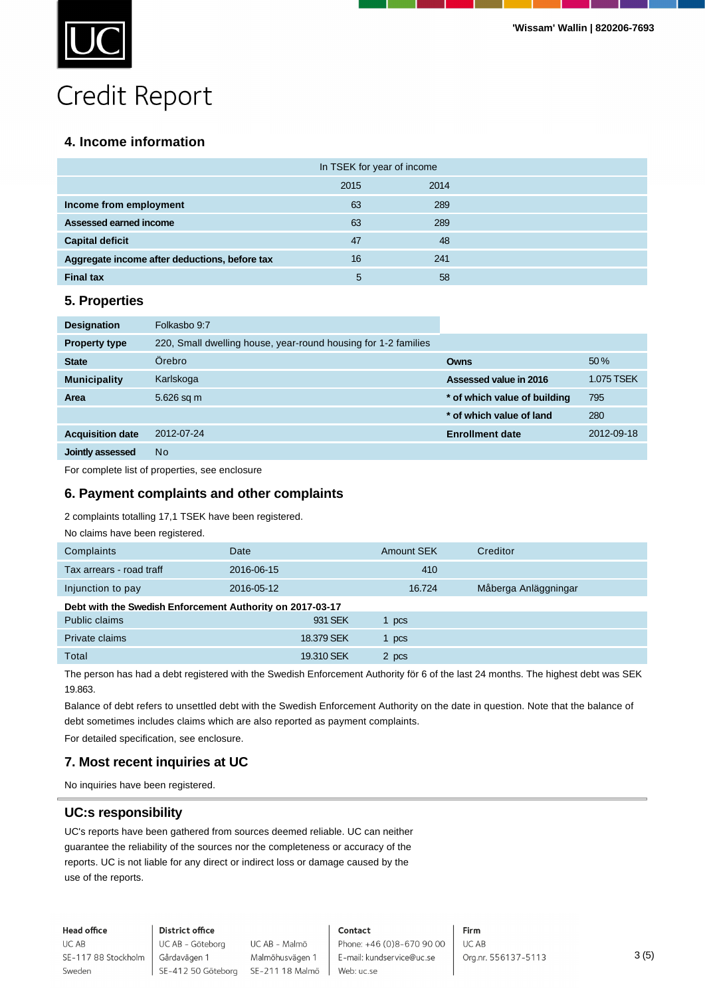

# Credit Report

## **4. Income information**

|                                               | In TSEK for year of income |      |
|-----------------------------------------------|----------------------------|------|
|                                               | 2015                       | 2014 |
| Income from employment                        | 63                         | 289  |
| Assessed earned income                        | 63                         | 289  |
| <b>Capital deficit</b>                        | 47                         | 48   |
| Aggregate income after deductions, before tax | 16                         | 241  |
| <b>Final tax</b>                              | 5                          | 58   |

#### **5. Properties**

| <b>Designation</b>      | Folkasbo 9:7                                                   |                              |            |
|-------------------------|----------------------------------------------------------------|------------------------------|------------|
| <b>Property type</b>    | 220, Small dwelling house, year-round housing for 1-2 families |                              |            |
| <b>State</b>            | Örebro                                                         | <b>Owns</b>                  | 50%        |
| <b>Municipality</b>     | Karlskoga                                                      | Assessed value in 2016       | 1.075 TSEK |
| Area                    | 5.626 sq m                                                     | * of which value of building | 795        |
|                         |                                                                | * of which value of land     | 280        |
| <b>Acquisition date</b> | 2012-07-24                                                     | <b>Enrollment date</b>       | 2012-09-18 |
| Jointly assessed        | <b>No</b>                                                      |                              |            |

For complete list of properties, see enclosure

#### **6. Payment complaints and other complaints**

#### 2 complaints totalling 17,1 TSEK have been registered.

| No claims have been registered.                           |            |            |                      |
|-----------------------------------------------------------|------------|------------|----------------------|
| Complaints                                                | Date       | Amount SEK | Creditor             |
| Tax arrears - road traff                                  | 2016-06-15 | 410        |                      |
| Injunction to pay                                         | 2016-05-12 | 16.724     | Måberga Anläggningar |
| Debt with the Swedish Enforcement Authority on 2017-03-17 |            |            |                      |
| Public claims                                             | 931 SEK    | 1 pcs      |                      |
| Private claims                                            | 18.379 SEK | 1 pcs      |                      |
| Total                                                     | 19.310 SEK | 2 pcs      |                      |

The person has had a debt registered with the Swedish Enforcement Authority för 6 of the last 24 months. The highest debt was SEK 19.863.

Balance of debt refers to unsettled debt with the Swedish Enforcement Authority on the date in question. Note that the balance of debt sometimes includes claims which are also reported as payment complaints.

For detailed specification, see enclosure.

#### **7. Most recent inquiries at UC**

No inquiries have been registered.

#### **UC:s responsibility**

UC's reports have been gathered from sources deemed reliable. UC can neither guarantee the reliability of the sources nor the completeness or accuracy of the reports. UC is not liable for any direct or indirect loss or damage caused by the use of the reports.

**Head office** UC AB

Sweden

#### **District office**

UC AB - Göteborg SE-117 88 Stockholm Gårdavägen 1

UC AB - Malmö Malmöhusvägen 1 SE-412 50 Göteborg SE-211 18 Malmö

#### Contact

Phone: +46 (0)8-670 90 00 E-mail: kundservice@uc.se Web: uc.se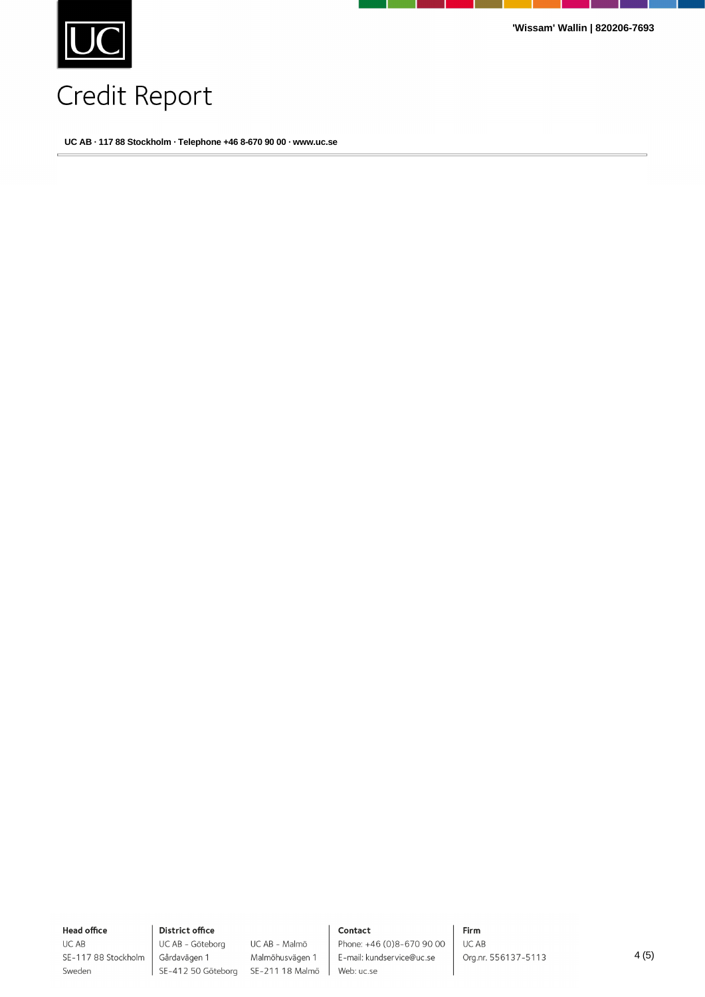

**'Wissam' Wallin | 820206-7693**

# Credit Report

**UC AB · 117 88 Stockholm · Telephone +46 8-670 90 00 · www.uc.se**

**Head office** UC AB

Sweden

SE-117 88 Stockholm

**District office** UC AB - Göteborg Gårdavägen 1

UC AB - Malmö Malmöhusvägen 1 SE-412 50 Göteborg SE-211 18 Malmö

#### Contact

Phone: +46 (0)8-670 90 00 E-mail: kundservice@uc.se Web: uc.se